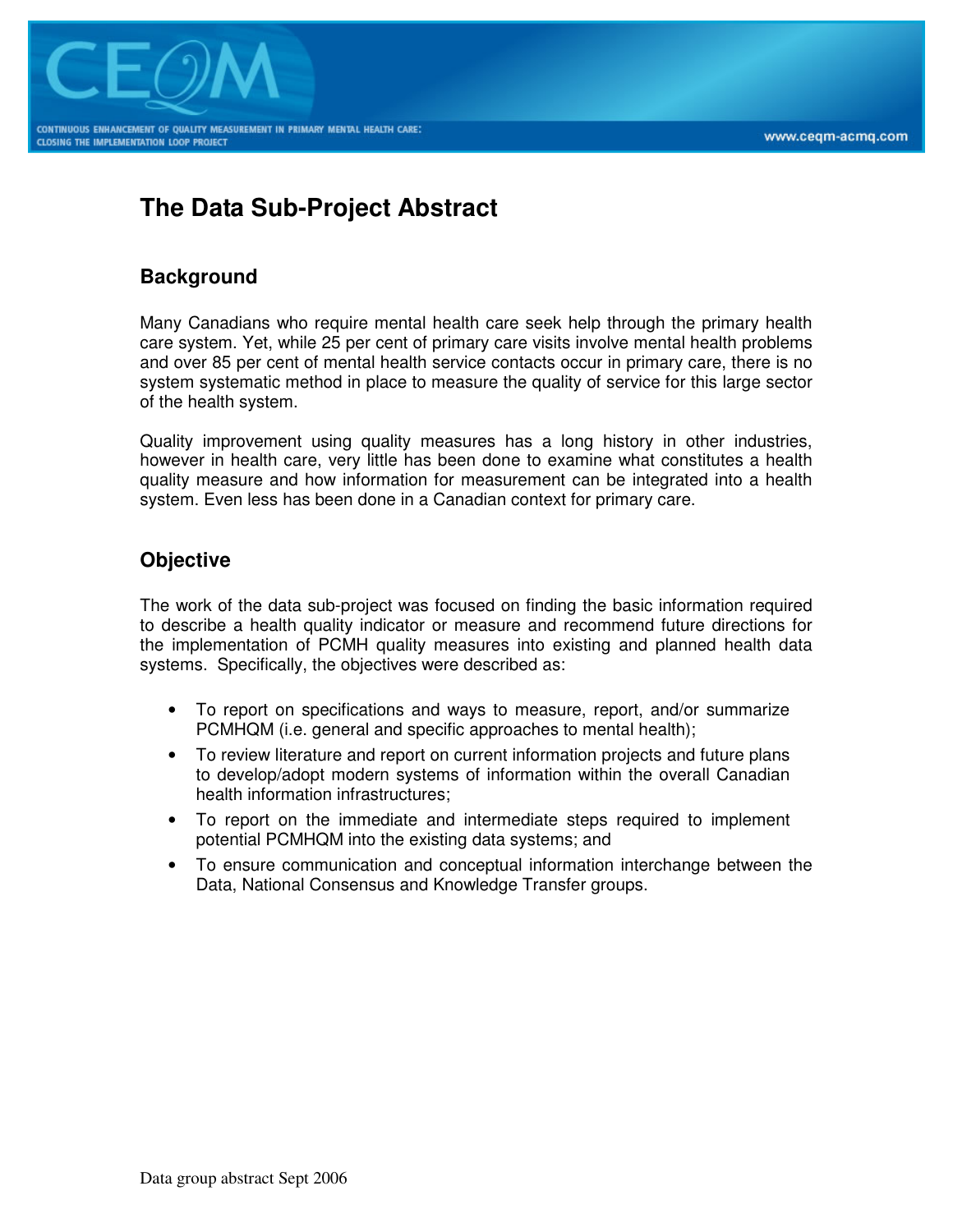

# **The Data Sub-Project Abstract**

## **Background**

Many Canadians who require mental health care seek help through the primary health care system. Yet, while 25 per cent of primary care visits involve mental health problems and over 85 per cent of mental health service contacts occur in primary care, there is no system systematic method in place to measure the quality of service for this large sector of the health system.

Quality improvement using quality measures has a long history in other industries, however in health care, very little has been done to examine what constitutes a health quality measure and how information for measurement can be integrated into a health system. Even less has been done in a Canadian context for primary care.

## **Objective**

The work of the data sub-project was focused on finding the basic information required to describe a health quality indicator or measure and recommend future directions for the implementation of PCMH quality measures into existing and planned health data systems. Specifically, the objectives were described as:

- To report on specifications and ways to measure, report, and/or summarize PCMHQM (i.e. general and specific approaches to mental health);
- To review literature and report on current information projects and future plans to develop/adopt modern systems of information within the overall Canadian health information infrastructures;
- To report on the immediate and intermediate steps required to implement potential PCMHQM into the existing data systems; and
- To ensure communication and conceptual information interchange between the Data, National Consensus and Knowledge Transfer groups.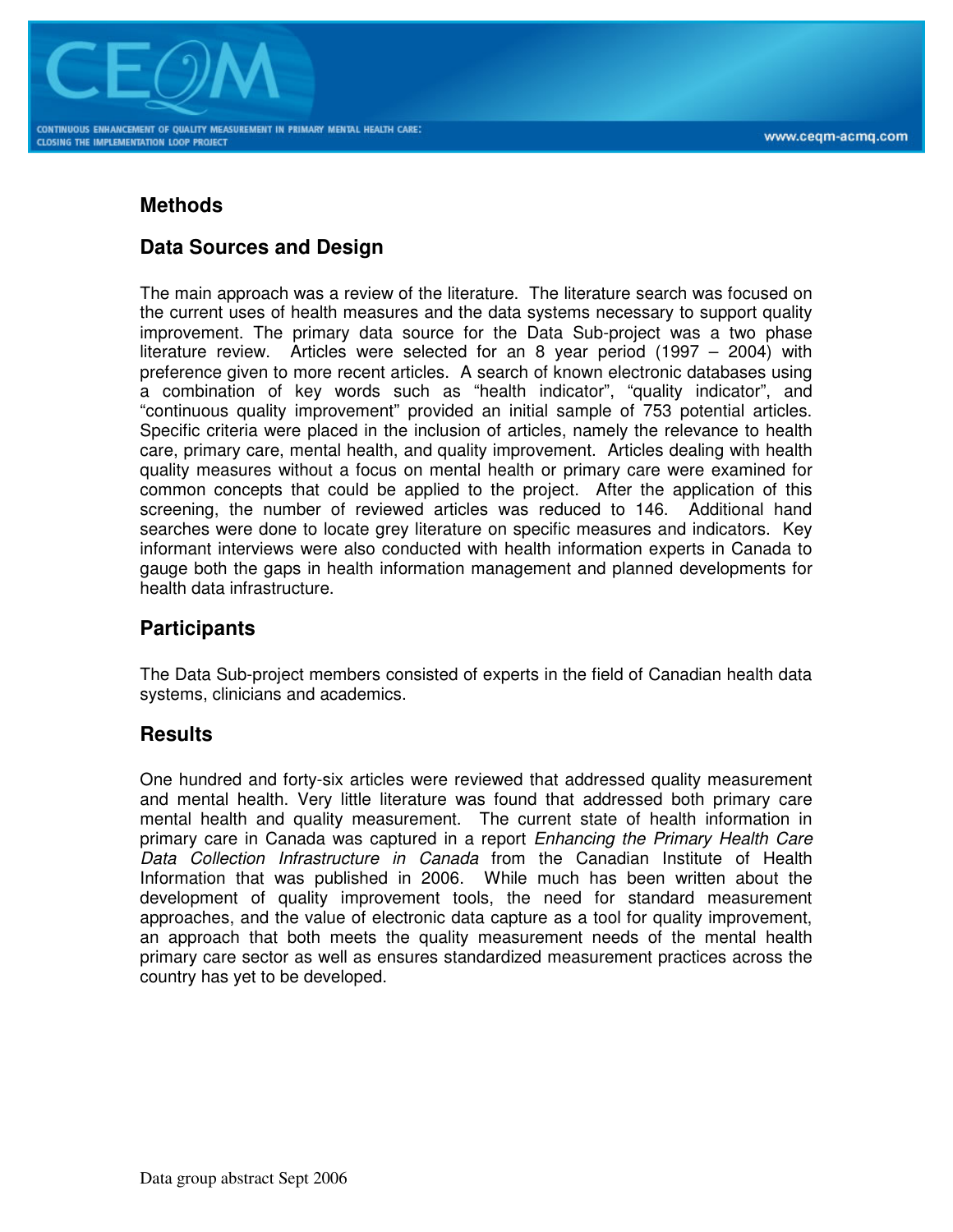

#### **Methods**

### **Data Sources and Design**

The main approach was a review of the literature. The literature search was focused on the current uses of health measures and the data systems necessary to support quality improvement. The primary data source for the Data Sub-project was a two phase literature review. Articles were selected for an 8 year period (1997 – 2004) with preference given to more recent articles. A search of known electronic databases using a combination of key words such as "health indicator", "quality indicator", and "continuous quality improvement" provided an initial sample of 753 potential articles. Specific criteria were placed in the inclusion of articles, namely the relevance to health care, primary care, mental health, and quality improvement. Articles dealing with health quality measures without a focus on mental health or primary care were examined for common concepts that could be applied to the project. After the application of this screening, the number of reviewed articles was reduced to 146. Additional hand searches were done to locate grey literature on specific measures and indicators. Key informant interviews were also conducted with health information experts in Canada to gauge both the gaps in health information management and planned developments for health data infrastructure.

#### **Participants**

The Data Sub-project members consisted of experts in the field of Canadian health data systems, clinicians and academics.

#### **Results**

One hundred and forty-six articles were reviewed that addressed quality measurement and mental health. Very little literature was found that addressed both primary care mental health and quality measurement. The current state of health information in primary care in Canada was captured in a report Enhancing the Primary Health Care Data Collection Infrastructure in Canada from the Canadian Institute of Health Information that was published in 2006. While much has been written about the development of quality improvement tools, the need for standard measurement approaches, and the value of electronic data capture as a tool for quality improvement, an approach that both meets the quality measurement needs of the mental health primary care sector as well as ensures standardized measurement practices across the country has yet to be developed.